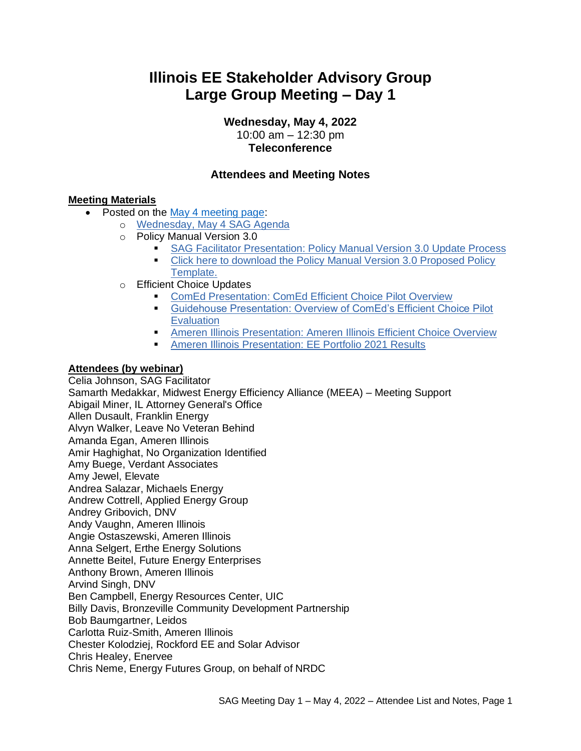# **Illinois EE Stakeholder Advisory Group Large Group Meeting – Day 1**

**Wednesday, May 4, 2022**

10:00 am – 12:30 pm **Teleconference**

### **Attendees and Meeting Notes**

#### **Meeting Materials**

- Posted on the May 4 [meeting page:](https://www.ilsag.info/event/wednesday-may-4-q2-sag-meeting-day-1/)
	- o [Wednesday, May 4 SAG Agenda](https://ilsag.s3.amazonaws.com/SAG_Q2-Meeting_Agenda_May-4-2022_Final.pdf)
	- o Policy Manual Version 3.0
		- **[SAG Facilitator Presentation: Policy Manual Version 3.0 Update Process](https://ilsag.s3.amazonaws.com/SAG-Policy-Manual-Overview-to-Large-Group-SAG_May-4-2022-Meeting_FINAL.pdf)**
		- Click here to download the Policy Manual Version 3.0 Proposed Policy [Template.](https://ilsag.s3.amazonaws.com/SAG-Policy-Manual-Subcommittee_Proposed-Policy-Template_Final-4-27-2022.docx)
	- o Efficient Choice Updates
		- [ComEd Presentation: ComEd Efficient Choice Pilot Overview](https://ilsag.s3.amazonaws.com/ComEd-Efficient-Choice-Pilot-Overview-SAG-5-4-2022.pdf)
		- **Example 10 Guidehouse Presentation: Overview of ComEd's Efficient Choice Pilot [Evaluation](https://ilsag.s3.amazonaws.com/ComEd-Efficient-Choice-Overview-Guidehouse-SAG-Meeting_2022-05-02.pdf)**
		- **[Ameren Illinois Presentation: Ameren Illinois Efficient Choice Overview](https://ilsag.s3.amazonaws.com/AIC-Efficient-Choice-Tool-Final-5-3-22.pdf)**
		- [Ameren Illinois Presentation: EE Portfolio 2021 Results](https://ilsag.s3.amazonaws.com/AIC-PY21-Review-Final-5-3-22.pdf)

#### **Attendees (by webinar)**

Celia Johnson, SAG Facilitator Samarth Medakkar, Midwest Energy Efficiency Alliance (MEEA) – Meeting Support Abigail Miner, IL Attorney General's Office Allen Dusault, Franklin Energy Alvyn Walker, Leave No Veteran Behind Amanda Egan, Ameren Illinois Amir Haghighat, No Organization Identified Amy Buege, Verdant Associates Amy Jewel, Elevate Andrea Salazar, Michaels Energy Andrew Cottrell, Applied Energy Group Andrey Gribovich, DNV Andy Vaughn, Ameren Illinois Angie Ostaszewski, Ameren Illinois Anna Selgert, Erthe Energy Solutions Annette Beitel, Future Energy Enterprises Anthony Brown, Ameren Illinois Arvind Singh, DNV Ben Campbell, Energy Resources Center, UIC Billy Davis, Bronzeville Community Development Partnership Bob Baumgartner, Leidos Carlotta Ruiz-Smith, Ameren Illinois Chester Kolodziej, Rockford EE and Solar Advisor Chris Healey, Enervee Chris Neme, Energy Futures Group, on behalf of NRDC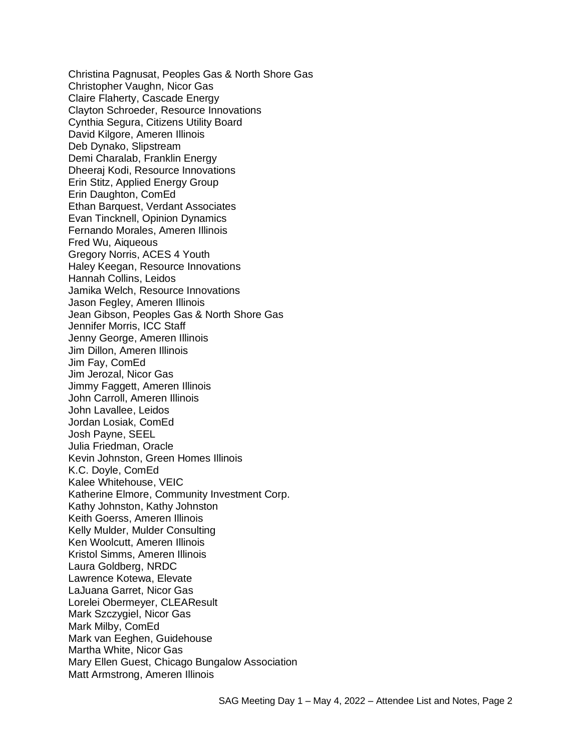Christina Pagnusat, Peoples Gas & North Shore Gas Christopher Vaughn, Nicor Gas Claire Flaherty, Cascade Energy Clayton Schroeder, Resource Innovations Cynthia Segura, Citizens Utility Board David Kilgore, Ameren Illinois Deb Dynako, Slipstream Demi Charalab, Franklin Energy Dheeraj Kodi, Resource Innovations Erin Stitz, Applied Energy Group Erin Daughton, ComEd Ethan Barquest, Verdant Associates Evan Tincknell, Opinion Dynamics Fernando Morales, Ameren Illinois Fred Wu, Aiqueous Gregory Norris, ACES 4 Youth Haley Keegan, Resource Innovations Hannah Collins, Leidos Jamika Welch, Resource Innovations Jason Fegley, Ameren Illinois Jean Gibson, Peoples Gas & North Shore Gas Jennifer Morris, ICC Staff Jenny George, Ameren Illinois Jim Dillon, Ameren Illinois Jim Fay, ComEd Jim Jerozal, Nicor Gas Jimmy Faggett, Ameren Illinois John Carroll, Ameren Illinois John Lavallee, Leidos Jordan Losiak, ComEd Josh Payne, SEEL Julia Friedman, Oracle Kevin Johnston, Green Homes Illinois K.C. Doyle, ComEd Kalee Whitehouse, VEIC Katherine Elmore, Community Investment Corp. Kathy Johnston, Kathy Johnston Keith Goerss, Ameren Illinois Kelly Mulder, Mulder Consulting Ken Woolcutt, Ameren Illinois Kristol Simms, Ameren Illinois Laura Goldberg, NRDC Lawrence Kotewa, Elevate LaJuana Garret, Nicor Gas Lorelei Obermeyer, CLEAResult Mark Szczygiel, Nicor Gas Mark Milby, ComEd Mark van Eeghen, Guidehouse Martha White, Nicor Gas Mary Ellen Guest, Chicago Bungalow Association Matt Armstrong, Ameren Illinois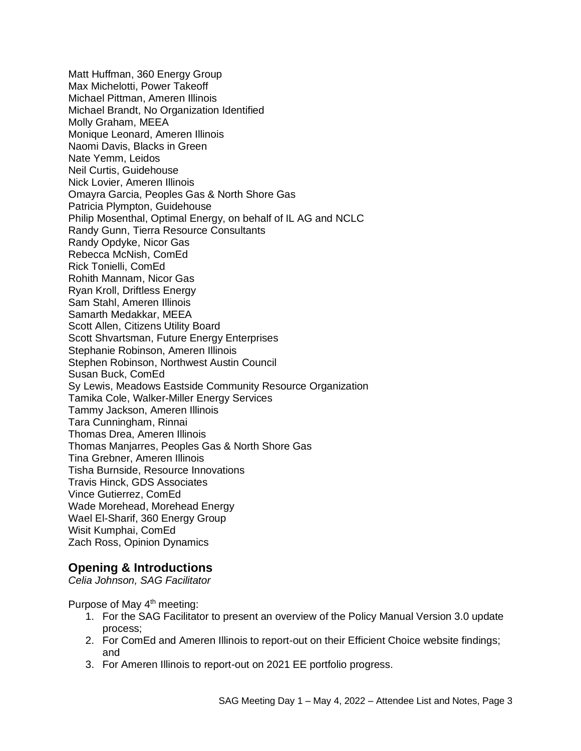Matt Huffman, 360 Energy Group Max Michelotti, Power Takeoff Michael Pittman, Ameren Illinois Michael Brandt, No Organization Identified Molly Graham, MEEA Monique Leonard, Ameren Illinois Naomi Davis, Blacks in Green Nate Yemm, Leidos Neil Curtis, Guidehouse Nick Lovier, Ameren Illinois Omayra Garcia, Peoples Gas & North Shore Gas Patricia Plympton, Guidehouse Philip Mosenthal, Optimal Energy, on behalf of IL AG and NCLC Randy Gunn, Tierra Resource Consultants Randy Opdyke, Nicor Gas Rebecca McNish, ComEd Rick Tonielli, ComEd Rohith Mannam, Nicor Gas Ryan Kroll, Driftless Energy Sam Stahl, Ameren Illinois Samarth Medakkar, MEEA Scott Allen, Citizens Utility Board Scott Shvartsman, Future Energy Enterprises Stephanie Robinson, Ameren Illinois Stephen Robinson, Northwest Austin Council Susan Buck, ComEd Sy Lewis, Meadows Eastside Community Resource Organization Tamika Cole, Walker-Miller Energy Services Tammy Jackson, Ameren Illinois Tara Cunningham, Rinnai Thomas Drea, Ameren Illinois Thomas Manjarres, Peoples Gas & North Shore Gas Tina Grebner, Ameren Illinois Tisha Burnside, Resource Innovations Travis Hinck, GDS Associates Vince Gutierrez, ComEd Wade Morehead, Morehead Energy Wael El-Sharif, 360 Energy Group Wisit Kumphai, ComEd Zach Ross, Opinion Dynamics

### **Opening & Introductions**

*Celia Johnson, SAG Facilitator*

Purpose of May 4<sup>th</sup> meeting:

- 1. For the SAG Facilitator to present an overview of the Policy Manual Version 3.0 update process;
- 2. For ComEd and Ameren Illinois to report-out on their Efficient Choice website findings; and
- 3. For Ameren Illinois to report-out on 2021 EE portfolio progress.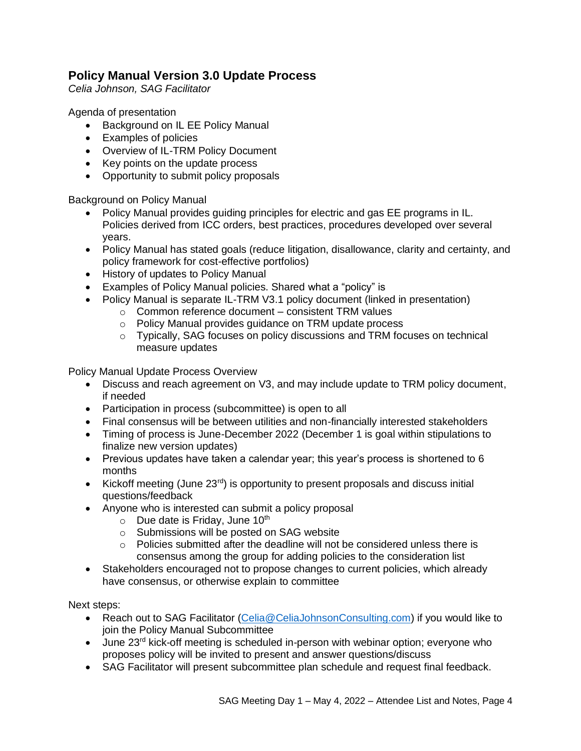# **Policy Manual Version 3.0 Update Process**

*Celia Johnson, SAG Facilitator*

Agenda of presentation

- Background on IL EE Policy Manual
- Examples of policies
- Overview of IL-TRM Policy Document
- Key points on the update process
- Opportunity to submit policy proposals

Background on Policy Manual

- Policy Manual provides guiding principles for electric and gas EE programs in IL. Policies derived from ICC orders, best practices, procedures developed over several years.
- Policy Manual has stated goals (reduce litigation, disallowance, clarity and certainty, and policy framework for cost-effective portfolios)
- History of updates to Policy Manual
- Examples of Policy Manual policies. Shared what a "policy" is
- Policy Manual is separate IL-TRM V3.1 policy document (linked in presentation)
	- o Common reference document consistent TRM values
	- o Policy Manual provides guidance on TRM update process
	- $\circ$  Typically, SAG focuses on policy discussions and TRM focuses on technical measure updates

Policy Manual Update Process Overview

- Discuss and reach agreement on V3, and may include update to TRM policy document, if needed
- Participation in process (subcommittee) is open to all
- Final consensus will be between utilities and non-financially interested stakeholders
- Timing of process is June-December 2022 (December 1 is goal within stipulations to finalize new version updates)
- Previous updates have taken a calendar year; this year's process is shortened to 6 months
- Kickoff meeting (June  $23<sup>rd</sup>$ ) is opportunity to present proposals and discuss initial questions/feedback
- Anyone who is interested can submit a policy proposal
	- $\circ$  Due date is Friday, June 10<sup>th</sup>
	- o Submissions will be posted on SAG website
	- $\circ$  Policies submitted after the deadline will not be considered unless there is consensus among the group for adding policies to the consideration list
- Stakeholders encouraged not to propose changes to current policies, which already have consensus, or otherwise explain to committee

Next steps:

- Reach out to SAG Facilitator [\(Celia@CeliaJohnsonConsulting.com\)](mailto:Celia@CeliaJohnsonConsulting.com) if you would like to join the Policy Manual Subcommittee
- June  $23<sup>rd</sup>$  kick-off meeting is scheduled in-person with webinar option; everyone who proposes policy will be invited to present and answer questions/discuss
- SAG Facilitator will present subcommittee plan schedule and request final feedback.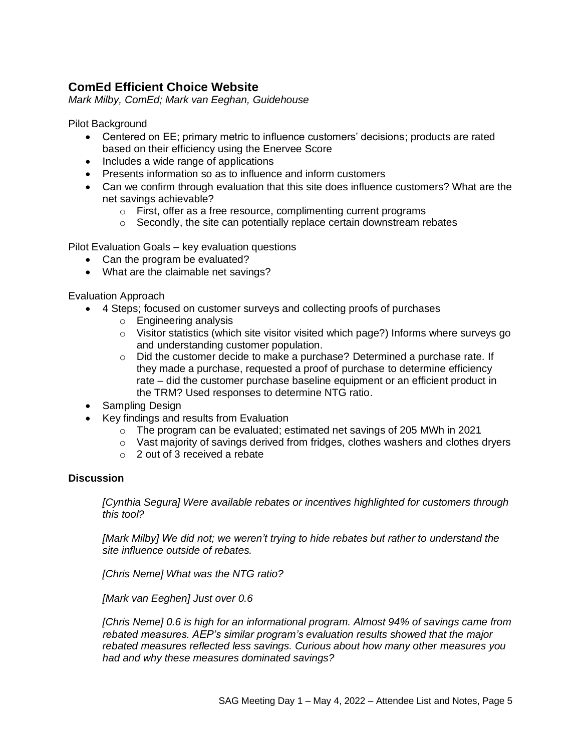# **ComEd Efficient Choice Website**

*Mark Milby, ComEd; Mark van Eeghan, Guidehouse*

Pilot Background

- Centered on EE; primary metric to influence customers' decisions; products are rated based on their efficiency using the Enervee Score
- Includes a wide range of applications
- Presents information so as to influence and inform customers
- Can we confirm through evaluation that this site does influence customers? What are the net savings achievable?
	- o First, offer as a free resource, complimenting current programs
	- $\circ$  Secondly, the site can potentially replace certain downstream rebates

Pilot Evaluation Goals – key evaluation questions

- Can the program be evaluated?
- What are the claimable net savings?

Evaluation Approach

- 4 Steps; focused on customer surveys and collecting proofs of purchases
	- o Engineering analysis
		- $\circ$  Visitor statistics (which site visitor visited which page?) Informs where surveys go and understanding customer population.
		- $\circ$  Did the customer decide to make a purchase? Determined a purchase rate. If they made a purchase, requested a proof of purchase to determine efficiency rate – did the customer purchase baseline equipment or an efficient product in the TRM? Used responses to determine NTG ratio.
- Sampling Design
- Key findings and results from Evaluation
	- $\circ$  The program can be evaluated; estimated net savings of 205 MWh in 2021
	- $\circ$  Vast majority of savings derived from fridges, clothes washers and clothes dryers
	- o 2 out of 3 received a rebate

#### **Discussion**

*[Cynthia Segura] Were available rebates or incentives highlighted for customers through this tool?*

*[Mark Milby] We did not; we weren't trying to hide rebates but rather to understand the site influence outside of rebates.* 

*[Chris Neme] What was the NTG ratio?*

*[Mark van Eeghen] Just over 0.6*

*[Chris Neme] 0.6 is high for an informational program. Almost 94% of savings came from rebated measures. AEP's similar program's evaluation results showed that the major rebated measures reflected less savings. Curious about how many other measures you had and why these measures dominated savings?*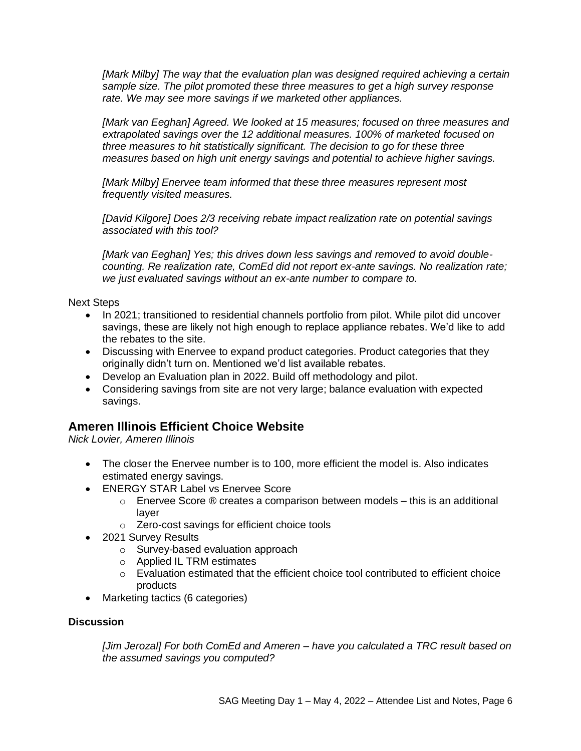*[Mark Milby] The way that the evaluation plan was designed required achieving a certain sample size. The pilot promoted these three measures to get a high survey response rate. We may see more savings if we marketed other appliances.*

*[Mark van Eeghan] Agreed. We looked at 15 measures; focused on three measures and extrapolated savings over the 12 additional measures. 100% of marketed focused on three measures to hit statistically significant. The decision to go for these three measures based on high unit energy savings and potential to achieve higher savings.* 

*[Mark Milby] Enervee team informed that these three measures represent most frequently visited measures.* 

*[David Kilgore] Does 2/3 receiving rebate impact realization rate on potential savings associated with this tool?*

*[Mark van Eeghan] Yes; this drives down less savings and removed to avoid doublecounting. Re realization rate, ComEd did not report ex-ante savings. No realization rate; we just evaluated savings without an ex-ante number to compare to.* 

Next Steps

- In 2021; transitioned to residential channels portfolio from pilot. While pilot did uncover savings, these are likely not high enough to replace appliance rebates. We'd like to add the rebates to the site.
- Discussing with Enervee to expand product categories. Product categories that they originally didn't turn on. Mentioned we'd list available rebates.
- Develop an Evaluation plan in 2022. Build off methodology and pilot.
- Considering savings from site are not very large; balance evaluation with expected savings.

### **Ameren Illinois Efficient Choice Website**

*Nick Lovier, Ameren Illinois*

- The closer the Enervee number is to 100, more efficient the model is. Also indicates estimated energy savings.
- ENERGY STAR Label vs Enervee Score
	- $\circ$  Enervee Score  $\circledR$  creates a comparison between models this is an additional layer
	- o Zero-cost savings for efficient choice tools
- 2021 Survey Results
	- o Survey-based evaluation approach
	- o Applied IL TRM estimates
	- $\circ$  Evaluation estimated that the efficient choice tool contributed to efficient choice products
- Marketing tactics (6 categories)

#### **Discussion**

*[Jim Jerozal] For both ComEd and Ameren – have you calculated a TRC result based on the assumed savings you computed?*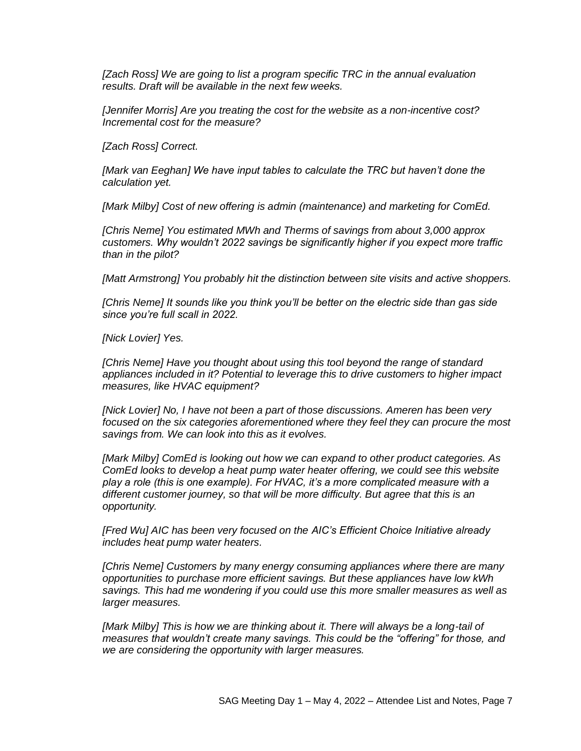*[Zach Ross] We are going to list a program specific TRC in the annual evaluation results. Draft will be available in the next few weeks.* 

*[Jennifer Morris] Are you treating the cost for the website as a non-incentive cost? Incremental cost for the measure?*

*[Zach Ross] Correct.* 

*[Mark van Eeghan] We have input tables to calculate the TRC but haven't done the calculation yet.* 

*[Mark Milby] Cost of new offering is admin (maintenance) and marketing for ComEd.* 

*[Chris Neme] You estimated MWh and Therms of savings from about 3,000 approx customers. Why wouldn't 2022 savings be significantly higher if you expect more traffic than in the pilot?* 

*[Matt Armstrong] You probably hit the distinction between site visits and active shoppers.* 

*[Chris Neme] It sounds like you think you'll be better on the electric side than gas side since you're full scall in 2022.*

*[Nick Lovier] Yes.*

*[Chris Neme] Have you thought about using this tool beyond the range of standard appliances included in it? Potential to leverage this to drive customers to higher impact measures, like HVAC equipment?*

*[Nick Lovier] No, I have not been a part of those discussions. Ameren has been very focused on the six categories aforementioned where they feel they can procure the most savings from. We can look into this as it evolves.*

*[Mark Milby] ComEd is looking out how we can expand to other product categories. As ComEd looks to develop a heat pump water heater offering, we could see this website play a role (this is one example). For HVAC, it's a more complicated measure with a different customer journey, so that will be more difficulty. But agree that this is an opportunity.* 

*[Fred Wu] AIC has been very focused on the AIC's Efficient Choice Initiative already includes heat pump water heaters.*

*[Chris Neme] Customers by many energy consuming appliances where there are many opportunities to purchase more efficient savings. But these appliances have low kWh savings. This had me wondering if you could use this more smaller measures as well as larger measures.* 

[Mark Milby] This is how we are thinking about it. There will always be a long-tail of *measures that wouldn't create many savings. This could be the "offering" for those, and we are considering the opportunity with larger measures.*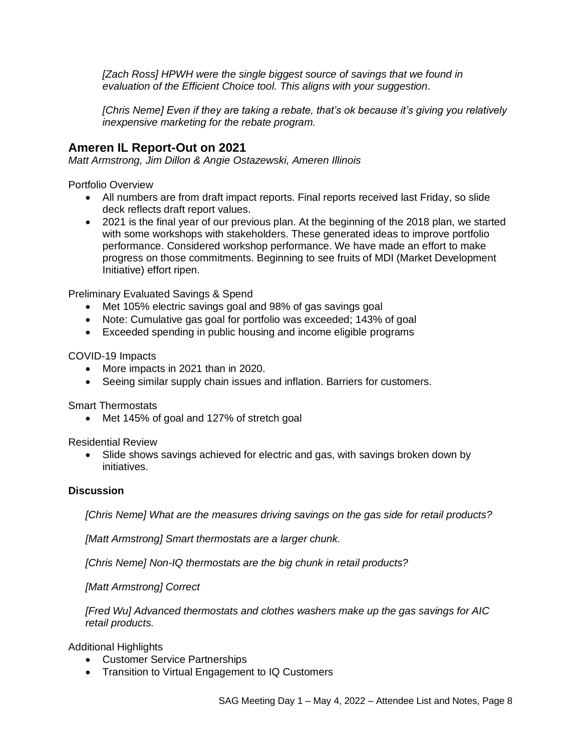*[Zach Ross] HPWH were the single biggest source of savings that we found in evaluation of the Efficient Choice tool. This aligns with your suggestion.*

*[Chris Neme] Even if they are taking a rebate, that's ok because it's giving you relatively inexpensive marketing for the rebate program.* 

## **Ameren IL Report-Out on 2021**

*Matt Armstrong, Jim Dillon & Angie Ostazewski, Ameren Illinois*

Portfolio Overview

- All numbers are from draft impact reports. Final reports received last Friday, so slide deck reflects draft report values.
- 2021 is the final year of our previous plan. At the beginning of the 2018 plan, we started with some workshops with stakeholders. These generated ideas to improve portfolio performance. Considered workshop performance. We have made an effort to make progress on those commitments. Beginning to see fruits of MDI (Market Development Initiative) effort ripen.

Preliminary Evaluated Savings & Spend

- Met 105% electric savings goal and 98% of gas savings goal
- Note: Cumulative gas goal for portfolio was exceeded; 143% of goal
- Exceeded spending in public housing and income eligible programs

#### COVID-19 Impacts

- More impacts in 2021 than in 2020.
- Seeing similar supply chain issues and inflation. Barriers for customers.

Smart Thermostats

• Met 145% of goal and 127% of stretch goal

Residential Review

• Slide shows savings achieved for electric and gas, with savings broken down by initiatives.

#### **Discussion**

*[Chris Neme] What are the measures driving savings on the gas side for retail products?* 

*[Matt Armstrong] Smart thermostats are a larger chunk.* 

*[Chris Neme] Non-IQ thermostats are the big chunk in retail products?* 

*[Matt Armstrong] Correct*

*[Fred Wu] Advanced thermostats and clothes washers make up the gas savings for AIC retail products.*

Additional Highlights

- Customer Service Partnerships
- Transition to Virtual Engagement to IQ Customers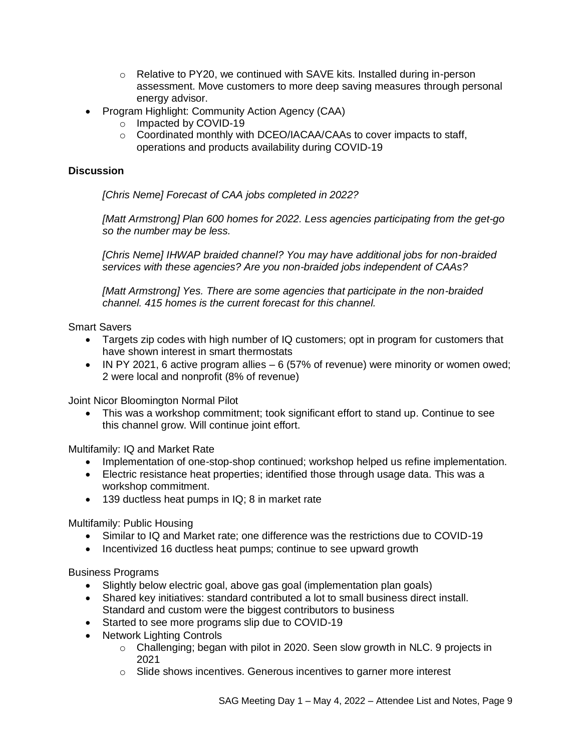- o Relative to PY20, we continued with SAVE kits. Installed during in-person assessment. Move customers to more deep saving measures through personal energy advisor.
- Program Highlight: Community Action Agency (CAA)
	- o Impacted by COVID-19
	- o Coordinated monthly with DCEO/IACAA/CAAs to cover impacts to staff, operations and products availability during COVID-19

#### **Discussion**

*[Chris Neme] Forecast of CAA jobs completed in 2022?*

*[Matt Armstrong] Plan 600 homes for 2022. Less agencies participating from the get-go so the number may be less.*

*[Chris Neme] IHWAP braided channel? You may have additional jobs for non-braided services with these agencies? Are you non-braided jobs independent of CAAs?*

*[Matt Armstrong] Yes. There are some agencies that participate in the non-braided channel. 415 homes is the current forecast for this channel.* 

Smart Savers

- Targets zip codes with high number of IQ customers; opt in program for customers that have shown interest in smart thermostats
- IN PY 2021, 6 active program allies 6 (57% of revenue) were minority or women owed; 2 were local and nonprofit (8% of revenue)

Joint Nicor Bloomington Normal Pilot

• This was a workshop commitment; took significant effort to stand up. Continue to see this channel grow. Will continue joint effort.

Multifamily: IQ and Market Rate

- Implementation of one-stop-shop continued; workshop helped us refine implementation.
- Electric resistance heat properties; identified those through usage data. This was a workshop commitment.
- 139 ductless heat pumps in IQ; 8 in market rate

Multifamily: Public Housing

- Similar to IQ and Market rate; one difference was the restrictions due to COVID-19
- Incentivized 16 ductless heat pumps; continue to see upward growth

Business Programs

- Slightly below electric goal, above gas goal (implementation plan goals)
- Shared key initiatives: standard contributed a lot to small business direct install. Standard and custom were the biggest contributors to business
- Started to see more programs slip due to COVID-19
- Network Lighting Controls
	- o Challenging; began with pilot in 2020. Seen slow growth in NLC. 9 projects in 2021
	- o Slide shows incentives. Generous incentives to garner more interest